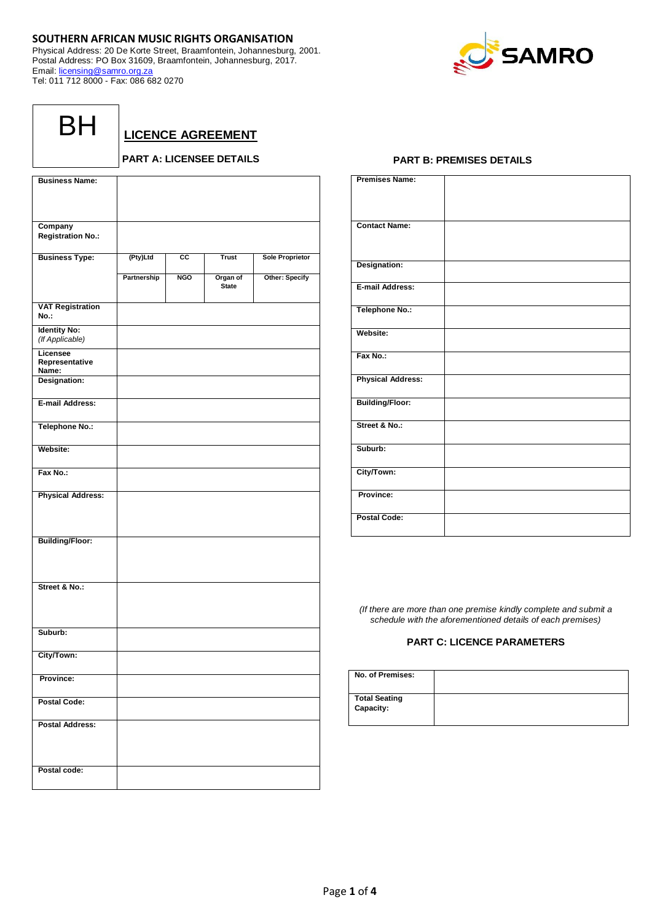## **SOUTHERN AFRICAN MUSIC RIGHTS ORGANISATION**

Physical Address: 20 De Korte Street, Braamfontein, Johannesburg, 2001. Postal Address: PO Box 31609, Braamfontein, Johannesburg, 2017. Email: [licensing@samro.org.za](mailto:licensing@samro.org.za) Tel: 011 712 8000 - Fax: 086 682 0270



**LICENCE AGREEMENT**

## **PART A: LICENSEE DETAILS**

| <b>Business Name:</b>                  |             |            |                          |                        |
|----------------------------------------|-------------|------------|--------------------------|------------------------|
|                                        |             |            |                          |                        |
| Company                                |             |            |                          |                        |
| <b>Registration No.:</b>               |             |            |                          |                        |
| <b>Business Type:</b>                  | (Pty)Ltd    | СC         | <b>Trust</b>             | <b>Sole Proprietor</b> |
|                                        | Partnership | <b>NGO</b> | Organ of<br><b>State</b> | Other: Specify         |
| <b>VAT Registration</b><br>No.:        |             |            |                          |                        |
| <b>Identity No:</b><br>(If Applicable) |             |            |                          |                        |
| Licensee<br>Representative<br>Name:    |             |            |                          |                        |
| Designation:                           |             |            |                          |                        |
| E-mail Address:                        |             |            |                          |                        |
| <b>Telephone No.:</b>                  |             |            |                          |                        |
| Website:                               |             |            |                          |                        |
| Fax No.:                               |             |            |                          |                        |
| <b>Physical Address:</b>               |             |            |                          |                        |
| <b>Building/Floor:</b>                 |             |            |                          |                        |
| Street & No.:                          |             |            |                          |                        |
| Suburb:                                |             |            |                          |                        |
| City/Town:                             |             |            |                          |                        |
| Province:                              |             |            |                          |                        |
| <b>Postal Code:</b>                    |             |            |                          |                        |
| <b>Postal Address:</b>                 |             |            |                          |                        |
| Postal code:                           |             |            |                          |                        |

## **PART B: PREMISES DETAILS**

| <b>Premises Name:</b>    |  |
|--------------------------|--|
| <b>Contact Name:</b>     |  |
| Designation:             |  |
| E-mail Address:          |  |
| Telephone No.:           |  |
| Website:                 |  |
| Fax No.:                 |  |
| <b>Physical Address:</b> |  |
| <b>Building/Floor:</b>   |  |
| Street & No.:            |  |
| Suburb:                  |  |
| City/Town:               |  |
| Province:                |  |
| <b>Postal Code:</b>      |  |

*(If there are more than one premise kindly complete and submit a schedule with the aforementioned details of each premises)*

## **PART C: LICENCE PARAMETERS**

| No. of Premises:                  |  |
|-----------------------------------|--|
| <b>Total Seating</b><br>Capacity: |  |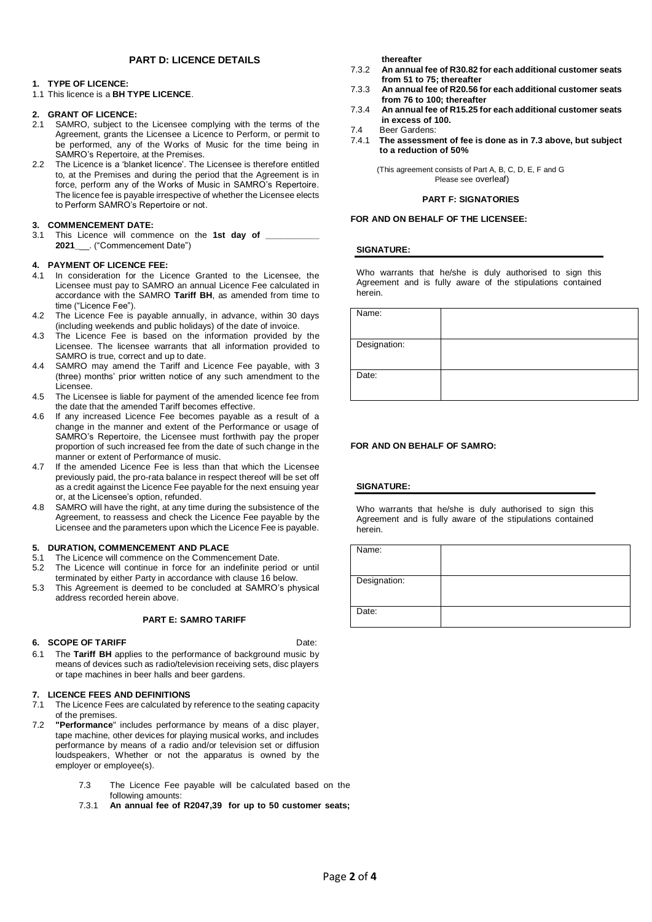## **PART D: LICENCE DETAILS**

### **1. TYPE OF LICENCE:**

## 1.1 This licence is a **BH TYPE LICENCE**.

## **2. GRANT OF LICENCE:**

- 2.1 SAMRO, subject to the Licensee complying with the terms of the Agreement, grants the Licensee a Licence to Perform, or permit to be performed, any of the Works of Music for the time being in SAMRO's Repertoire, at the Premises.
- 2.2 The Licence is a 'blanket licence'. The Licensee is therefore entitled to, at the Premises and during the period that the Agreement is in force, perform any of the Works of Music in SAMRO's Repertoire. The licence fee is payable irrespective of whether the Licensee elects to Perform SAMRO's Repertoire or not.

## **3. COMMENCEMENT DATE:**

3.1 This Licence will commence on the **1st day of \_\_\_\_\_\_\_\_\_\_\_ 2021\_**\_\_. ("Commencement Date")

## **4. PAYMENT OF LICENCE FEE:**

- 4.1 In consideration for the Licence Granted to the Licensee, the Licensee must pay to SAMRO an annual Licence Fee calculated in accordance with the SAMRO **Tariff BH**, as amended from time to time ("Licence Fee").
- 4.2 The Licence Fee is payable annually, in advance, within 30 days (including weekends and public holidays) of the date of invoice.
- 4.3 The Licence Fee is based on the information provided by the Licensee. The licensee warrants that all information provided to SAMRO is true, correct and up to date.
- 4.4 SAMRO may amend the Tariff and Licence Fee payable, with 3 (three) months' prior written notice of any such amendment to the Licensee.
- 4.5 The Licensee is liable for payment of the amended licence fee from the date that the amended Tariff becomes effective.
- 4.6 If any increased Licence Fee becomes payable as a result of a change in the manner and extent of the Performance or usage of SAMRO's Repertoire, the Licensee must forthwith pay the proper proportion of such increased fee from the date of such change in the manner or extent of Performance of music.
- 4.7 If the amended Licence Fee is less than that which the Licensee previously paid, the pro-rata balance in respect thereof will be set off as a credit against the Licence Fee payable for the next ensuing year or, at the Licensee's option, refunded.
- 4.8 SAMRO will have the right, at any time during the subsistence of the Agreement, to reassess and check the Licence Fee payable by the Licensee and the parameters upon which the Licence Fee is payable.

### **5. DURATION, COMMENCEMENT AND PLACE**

- 5.1 The Licence will commence on the Commencement Date.
- 5.2 The Licence will continue in force for an indefinite period or until terminated by either Party in accordance with clause 16 below.
- 5.3 This Agreement is deemed to be concluded at SAMRO's physical address recorded herein above.

### **PART E: SAMRO TARIFF**

### **6. SCOPE OF TARIFF**

Date:

6.1 The **Tariff BH** applies to the performance of background music by means of devices such as radio/television receiving sets, disc players or tape machines in beer halls and beer gardens.

### **7. LICENCE FEES AND DEFINITIONS**

- 7.1 The Licence Fees are calculated by reference to the seating capacity of the premises.
- "Performance" includes performance by means of a disc player, tape machine, other devices for playing musical works, and includes performance by means of a radio and/or television set or diffusion loudspeakers, Whether or not the apparatus is owned by the employer or employee(s).
	- 7.3 The Licence Fee payable will be calculated based on the following amounts:
	- 7.3.1 **An annual fee of R2047,39 for up to 50 customer seats;**

**thereafter**

- 7.3.2 **An annual fee of R30.82 for each additional customer seats from 51 to 75; thereafter**
- 7.3.3 **An annual fee of R20.56 for each additional customer seats from 76 to 100; thereafter**
- 7.3.4 **An annual fee of R15.25 for each additional customer seats in excess of 100.**
- 7.4 Beer Gardens:
- 7.4.1 **The assessment of fee is done as in 7.3 above, but subject to a reduction of 50%**

(This agreement consists of Part A, B, C, D, E, F and G Please see overleaf)

### **PART F: SIGNATORIES**

### **FOR AND ON BEHALF OF THE LICENSEE:**

### **SIGNATURE:**

Who warrants that he/she is duly authorised to sign this Agreement and is fully aware of the stipulations contained herein.

| Name:        |  |
|--------------|--|
|              |  |
| Designation: |  |
|              |  |
| Date:        |  |
|              |  |

### **FOR AND ON BEHALF OF SAMRO:**

### **SIGNATURE:**

Who warrants that he/she is duly authorised to sign this Agreement and is fully aware of the stipulations contained herein.

| Name:        |  |
|--------------|--|
| Designation: |  |
| Date:        |  |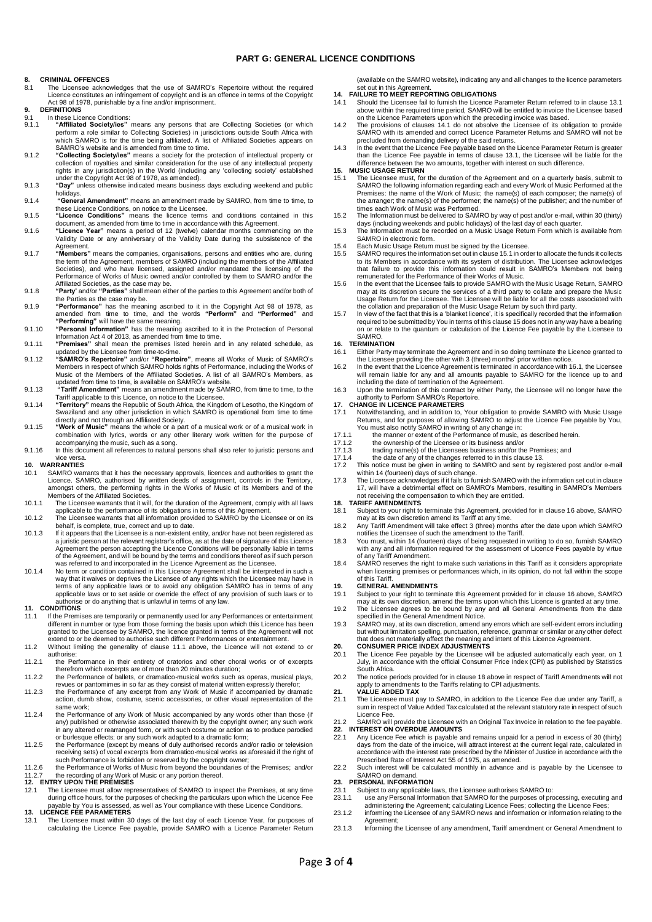### **PART G: GENERAL LICENCE CONDITIONS**

### **8. CRIMINAL OFFENCES**

- 8.1 The Licensee acknowledges that the use of SAMRO's Repertoire without the required Licence constitutes an infringement of copyright and is an offence in terms of the Copyright Act 98 of 1978, punishable by a fine and/or imprisonment.
- **9. DEFINITIONS**
- 9.1 In these Licence Conditions:<br>9.1. **Conditional Conditions** 9.1.1 "Affiliated Society/ies" means any persons that are Collecting Societies (or which perform a role similar to Collecting Societies) in jurisdictions outside South Africa with which SAMRO is for the time being affiliat
- 9.1.2 **"Collecting Society/ies"** means a society for the protection of intellectual property or collection of royalties and similar consideration for the use of any intellectual property rights in any jurisdiction(s) in the World (including any 'collecting society' established under the Copyright Act 98 of 1978, as amended).
- 9.1.3 **"Day"** unless otherwise indicated means business days excluding weekend and public
- holidays. 9.1.4 **"General Amendment"** means an amendment made by SAMRO, from time to time, to these Licence Conditions, on notice to the Licensee. 9.1.5 **"Licence Conditions"** means the licence terms and conditions contained in this
- 
- document, as amended from time to time in accordance with this Agreement. 9.1.6 **"Licence Year"** means a period of 12 (twelve) calendar months commencing on the Validity Date or any anniversary of the Validity Date during the subsistence of the
- Agreement.<br>9.1.7 **"Members**" means the companies, organisations, persons and entities who are, during<br>the term of the Agreement, members of SAMRO (including the members of the Affiliated Societies), and who have licensed, assigned and/or mandated the licensing of the Performance of Works of Music owned and/or controlled by them to SAMRO and/or the Affiliated Societies, as the case may be.
- 9.1.8 **"Party'** and/or **"Parties"** shall mean either of the parties to this Agreement and/or both of the Parties as the case may be.
- 9.1.9 **"Performance"** has the meaning ascribed to it in the Copyright Act 98 of 1978, as amended from time to time, and the words **"Perform"** and **"Performed"** and **"Performing"** will have the same meaning.
- 9.1.10 **"Personal Information"** has the meaning ascribed to it in the Protection of Personal Information Act 4 of 2013, as amended from time to time. 9.1.11 **"Premises"** shall mean the premises listed herein and in any related schedule, as
- 
- updated by the Licensee from time-to-time.<br>9.1.12 "SAMRO's Repertoire" and/or "Repertoire", means all Works of Music of SAMRO's<br>Members in respect of which SAMRO holds rights of Performance, including the Works of<br>Music of
- 9.1.13 **"Tariff Amendment"** means an amendment made by SAMRO, from time to time, to the Tariff applicable to this Licence, on notice to the Licensee.
- 9.1.14 **"Territory"** means the Republic of South Africa, the Kingdom of Lesotho, the Kingdom of Swaziland and any other jurisdiction in which SAMRO is operational from time to time directly and not through an Affiliated Society. 9.1.15 **"Work of Music"** means the whole or a part of a musical work or of a musical work in
- combination with lyrics, words or any other literary work written for the purpose of accompanying the music, such as a song. 9.1.16 In this document all references to natural persons shall also refer to juristic persons and
- 

## vice versa. **10. WARRANTIES**

- 10.1 SAMRO warrants that it has the necessary approvals, licences and authorities to grant the Licence. SAMRO, authorised by written deeds of assignment, controls in the Territory, amongst others, the performing rights in
- 10.1.1 The Licensee warrants that it will, for the duration of the Agreement, comply with all laws applicable to the performance of its obligations in terms of this Agreement.
- 10.1.2 The Licensee warrants that all information provided to SAMRO by the Licensee or on its behalf, is complete, true, correct and up to date.
- 10.1.3 If it appears that the Licensee is a non-existent entity, and/or have not been registered as a juristic person at the relevant registrar's office, as at the date of signature of this Licence Agreement the person accepting the Licence Conditions will be personally liable in terms<br>of the Agreement, and will be bound by the terms and conditions thereof as if such person<br>was referred to and incorporated in the Lic
- 10.1.4 No term or condition contained in this Licence Agreement shall be interpreted in such a way that it waives or deprives the Licensee of any rights which the Licensee may have in<br>terms of any applicable laws or to avoid any obligation SAMRO has in terms of any<br>applicable laws or to set aside or override the eff authorise or do anything that is unlawful in terms of any law. **11. CONDITIONS**

- 11.1 If the Premises are temporarily or permanently used for any Performances or entertainment<br>different in number or type from those forming the basis upon which this Licence has been<br>granted to the License by SAMRO, the
- 11.2 Without limiting the generality of clause 11.1 above, the Licence will not extend to or authorise:
- 11.2.1 the Performance in their entirety of oratorios and other choral works or of excerpts
- therefrom which excerpts are of more than 20 minutes duration; 11.2.2 the Performance of ballets, or dramatico-musical works such as operas, musical plays,
- revues or pantomimes in so far as they consist of material written expressly therefor; 11.2.3 the Performance of any excerpt from any Work of Music if accompanied by dramatic action, dumb show, costume, scenic accessories, or other visual representation of the same work;
- 11.2.4 the Performance of any Work of Music accompanied by any words other than those (if any) published or otherwise associated therewith by the copyright owner; any such work in any altered or rearranged form, or with such costume or action as to produce parodied or burlesque effects; or any such work adapted to a dramatic form;
- 11.2.5 the Performance (except by means of duly authorised records and/or radio or television receiving sets) of vocal excerpts from dramatico-musical works as aforesaid if the right of
- such Performance is forbidden or reserved by the copyright owner;<br>11.2.6 the Performance of Works of Music from beyond the boundaries of the Premises; and/or<br>11.2.7 the recording of any Work of Music or any portion thereof

- during office hours, for the purposes of checking the particulars upon which the Licence Fee payable by You is assessed, as well as Your compliance with these Licence Conditions. **13. LICENCE FEE PARAMETERS**
- 13.1 The Licensee must within 30 days of the last day of each Licence Year, for purposes of calculating the Licence Fee payable, provide SAMRO with a Licence Parameter Return

(available on the SAMRO website), indicating any and all changes to the licence parameters set out in this Agreement. **14. FAILURE TO MEET REPORTING OBLIGATIONS**

- 
- 14.1 Should the Licensee fail to furnish the Licence Parameter Return referred to in clause 13.1 above within the required time period, SAMRO will be entitled to invoice the Licensee based on the Licence Parameters upon which the preceding invoice was based.
- 14.2 The provisions of clauses 14.1 do not absolve the Licensee of its obligation to provide SAMRO with its amended and correct Licence Parameter Returns and SAMRO will not be
- precluded from demanding delivery of the said returns. 14.3 In the event that the Licence Fee payable based on the Licence Parameter Return is greater than the Licence Fee payable in terms of clause 13.1, the Licensee will be liable for the difference between the two amounts, together with interest on such difference. **15. MUSIC USAGE RETURN**

- 15.1 The Licensee must, for the duration of the Agreement and on a quarterly basis, submit to SAMRO the following information regarding each and every Work of Music Performed at the Premises: the name of the Work of Music; the name(s) of each composer; the name(s) of the arranger; the name(s) of the performer; the name(s) of the publisher; and the number of times each Work of Music was Performed. 15.2 The Information must be delivered to SAMRO by way of post and/or e-mail, within 30 (thirty)
- days (including weekends and public holidays) of the last day of each quarter. 15.3 The Information must be recorded on a Music Usage Return Form which is available from
- SAMRO in electronic form.
- 15.4 Each Music Usage Return must be signed by the Licensee.
- 15.5 SAMRO requires the information set out in clause 15.1 in order to allocate the funds it collects to its Members in accordance with its system of distribution. The Licensee acknowledges that failure to provide this information could result in SAMRO's Members not being remunerated for the Performance of their Works of Music.
- 15.6 In the event that the Licensee fails to provide SAMRO with the Music Usage Return, SAMRO may at its discretion secure the services of a third party to collate and prepare the Music Usage Return for the Licensee. The Licensee will be liable for all the costs associated with the collation and preparation of the Music Usage Return by such third party.
- 15.7 In view of the fact that this is a 'blanket licence', it is specifically recorded that the information required to be submitted by You in terms of this clause 15 does not in any way have a bearing on or relate to the quantum or calculation of the Licence Fee payable by the Licensee to SAMRO.

- **16. TERMINATION**<br>16.1 Either Party n 16.1 Either Party may terminate the Agreement and in so doing terminate the Licence granted to the Licensee providing the other with 3 (three) months' prior written notice.
- 16.2 In the event that the Licence Agreement is terminated in accordance with 16.1, the Licensee will remain liable for any and all amounts payable to SAMRO for the licence up to and including the date of termination of the Agreement.
- 16.3 Upon the termination of this contract by either Party, the Licensee will no longer have the authority to Perform SAMRO's Repertoire.

## **17. CHANGE IN LICENCE PARAMETERS**<br>17.1 Notwithstanding and in addition to

- 17.1 Notwithstanding, and in addition to, Your obligation to provide SAMRO with Music Usage Returns, and for purposes of allowing SAMRO to adjust the Licence Fee payable by You, You must also notify SAMRO in writing of any change in:
- 
- 17.1.1 the manner or extent of the Performance of music, as described herein. 17.1.2 the ownership of the Licensee or its business and/or
- 
- 17.1.3 trading name(s) of the Licensees business and/or the Premises; and 17.1.4 the date of any of the changes referred to in this clause 13.
- This notice must be given in writing to SAMRO and sent by registered post and/or e-mail<br>writhin 14 (fourteen) days of such change.<br>The Licensee acknowledges if it fails to furnish SAMRO with the information set out in clau
- 17, will have a detrimental effect on SAMRO's Members, resulting in SAMRO's Members not receiving the compensation to which they are entitled.

### **18. TARIFF AMENDMENTS**

- 18.1 Subject to your right to terminate this Agreement, provided for in clause 16 above, SAMRO may at its own discretion amend its Tariff at any time. 18.2 Any Tariff Amendment will take effect 3 (three) months after the date upon which SAMRO
- notifies the Licensee of such the amendment to the Tariff.
- 18.3 You must, within 14 (fourteen) days of being requested in writing to do so, furnish SAMRO with any and all information required for the assessment of Licence Fees payable by virtue
- of any Tariff Amendment. 18.4 SAMRO reserves the right to make such variations in this Tariff as it considers appropriate when licensing premises or performances which, in its opinion, do not fall within the scope of this Tariff.

## **19. GENERAL AMENDMENTS**<br>19.1 Subject to your right to term

- 19.1 Subject to your right to terminate this Agreement provided for in clause 16 above, SAMRO
- may at its own discretion, amend the terms upon which this Licence is granted at any time. 19.2 The Licensee agrees to be bound by any and all General Amendments from the date specified in the General Amendment Notice.
- 19.3 SAMRO may, at its own discretion, amend any errors which are self-evident errors including but without limitation spelling, punctuation, reference, grammar or similar or any other defect<br>that does not materially affect the meaning and intent of this Licence Agreement.<br>20. CONSUMER PRICE INDEX ADJUSTMENTS

- 20.1 The Licence Fee payable by the Licensee will be adjusted automatically each year, on 1 July, in accordance with the official Consumer Price Index (CPI) as published by Statistics South Africa.
- 20.2 The notice periods provided for in clause 18 above in respect of Tariff Amendments will not apply to amendments to the Tariffs relating to CPI adjustments. **21. VALUE ADDED TAX**
- 21.1 The Licensee must pay to SAMRO, in addition to the Licence Fee due under any Tariff, a sum in respect of Value Added Tax calculated at the relevant statutory rate in respect of such

# Licence Fee. 21.2 SAMRO will provide the Licensee with an Original Tax Invoice in relation to the fee payable. **22. INTEREST ON OVERDUE AMOUNTS**

- 22.1 Any Licence Fee which is payable and remains unpaid for a period in excess of 30 (thirty) days from the date of the invoice, will attract interest at the current legal rate, calculated in accordance with the interest rate prescribed by the Minister of Justice in accordance with the accordance with the interest rate prescribed by the Minister of Justice in accordance with the
- Prescribed Rate of Interest Act 55 of 1975, as amended. 22.2 Such interest will be calculated monthly in advance and is payable by the Licensee to SAMRO on demand.

## **23. PERSONAL INFORMATION**

- 23.1 Subject to any applicable laws, the Licensee authorises SAMRO to:<br>23.1 Subject to any applicable laws, the Licensee authorises SAMRO to:
- 23.1.1 use any Personal Information that SAMRO for the purposes of processing, executing and<br>administering the Agreement; calculating Licence Fees; collecting the Licence Fees;<br>23.1.2 informing the Licensee of any SAMRO ne Agreement;
- 23.1.3 Informing the Licensee of any amendment, Tariff amendment or General Amendment to